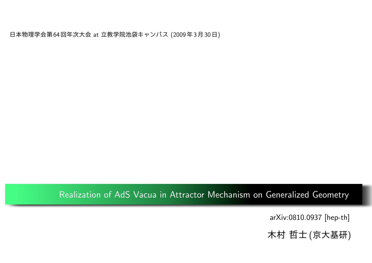日本物理学会第64回年次大会 at 立教学院池袋キャンパス (2009年3月30日)

#### Realization of AdS Vacua in Attractor Mechanism on Generalized Geometry

[arXiv:0810.0937 \[hep-th\]](http://www.slac.stanford.edu/spires/find/hep/wwwbrieflatex?rawcmd=FIND+KEY+8010633&FORMAT=www&SEQUENCE=)

木村 哲士(京大基研)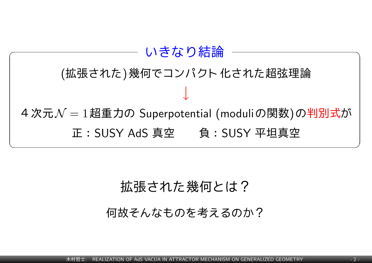

#### 拡張された幾何とは?

何故そんなものを考えるのか?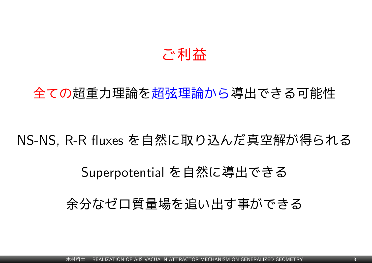## ご利益

## 全ての超重力理論を超弦理論から導出できる可能性

## NS-NS, R-R fluxes を自然に取り込んだ真空解が得られる

## Superpotential を自然に導出できる

#### 余分なゼロ質量場を追い出す事ができる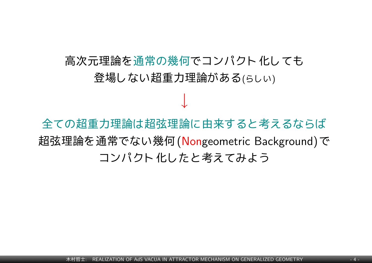# 高次元理論を通常の幾何でコンパクト化しても 登場しない超重力理論がある(らしい)

*↓*

全ての超重力理論は超弦理論に由来すると考えるならば 超弦理論を通常でない幾何(Nongeometric Background)で コンパクト化したと考えてみよう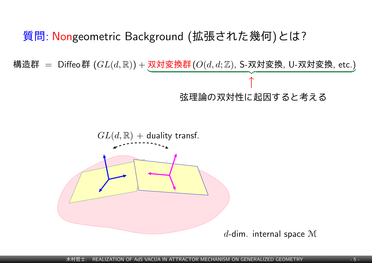#### 質問: Nongeometric Background (拡張された幾何)とは?

構造群 = Diffeo群  $(GL(d,\mathbb{R}))$  +  $\overline{\text{xy}}$  梦換群  $(O(d,d;\mathbb{Z}),$  S-双対変換, U-双対変換, etc.)  $\overbrace{\qquad \qquad \qquad \qquad }$ *↑* 弦理論の双対性に起因すると考える

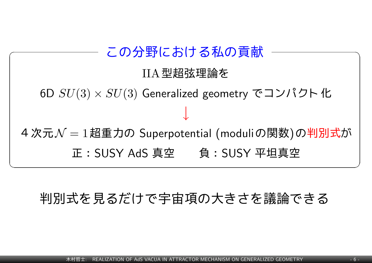**✓** この分野における私の貢献 **✏** IIA型超弦理論を 6D *SU*(3) *× SU*(3) Generalized geometry でコンパクト化 *↓* 4次元*N* = 1超重力の Superpotential (moduliの関数)の判別式が 正:SUSY AdS 真空 負:SUSY 平坦真空

## 判別式を見るだけで宇宙項の大きさを議論できる

**✒ ✑**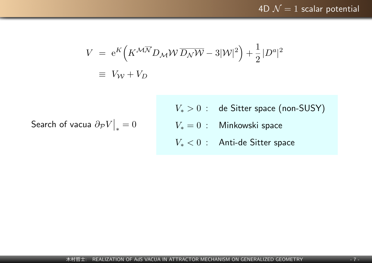$$
V = e^{K} \left( K^{\mathcal{M}\overline{\mathcal{N}}} D_{\mathcal{M}} \mathcal{W} \overline{D_{\mathcal{N}} \mathcal{W}} - 3|\mathcal{W}|^{2} \right) + \frac{1}{2} |D^{a}|^{2}
$$
  

$$
\equiv V_{\mathcal{W}} + V_{D}
$$

Search of vacua *∂PV ∗*  $= 0$ 

- *V*<sup>∗</sup> > 0 : de Sitter space (non-SUSY)
- *V<sup>∗</sup>* = 0 : Minkowski space
- *V<sup>∗</sup> <* 0 : Anti-de Sitter space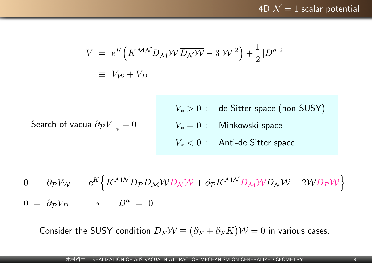$$
V = e^{K} \left( K^{\mathcal{M}\overline{\mathcal{N}}} D_{\mathcal{M}} \mathcal{W} \overline{D_{\mathcal{N}} \mathcal{W}} - 3|\mathcal{W}|^{2} \right) + \frac{1}{2} |D^{a}|^{2}
$$
  

$$
\equiv V_{\mathcal{W}} + V_{D}
$$

Search of vacua *∂PV ∗*  $= 0$  *V*<sup>∗</sup> > 0 : de Sitter space (non-SUSY) *V<sup>∗</sup>* = 0 : Minkowski space *V<sup>∗</sup> <* 0 : Anti-de Sitter space

$$
0 = \partial_{\mathcal{P}} V_{\mathcal{W}} = e^{K} \Big\{ K^{\mathcal{M}\overline{\mathcal{N}}} D_{\mathcal{P}} D_{\mathcal{M}} \mathcal{W} \overline{D_{\mathcal{N}} \mathcal{W}} + \partial_{\mathcal{P}} K^{\mathcal{M}\overline{\mathcal{N}}} D_{\mathcal{M}} \mathcal{W} \overline{D_{\mathcal{N}} \mathcal{W}} - 2 \overline{\mathcal{W}} D_{\mathcal{P}} \mathcal{W} \Big\}
$$
  

$$
0 = \partial_{\mathcal{P}} V_{D} \longrightarrow D^{a} = 0
$$

Consider the SUSY condition  $D_{\mathcal{P}}\mathcal{W} \equiv \left(\partial_{\mathcal{P}} + \partial_{\mathcal{P}}K\right)\mathcal{W} = 0$  in various cases.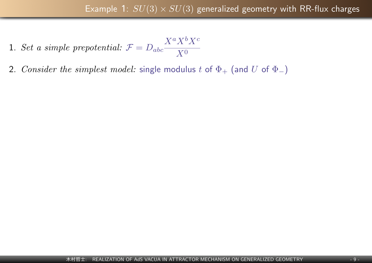- 1. *Set a simple prepotential:*  $\mathcal{F} = D_{abc}$  $X^a X^b X^c$ *X*<sup>0</sup>
- 2. *Consider the simplest model:* single modulus *t* of  $\Phi_+$  (and *U* of  $\Phi_-$ )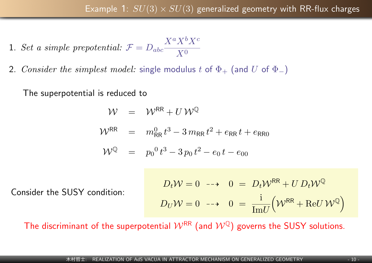1. Set a simple prepotential: 
$$
\mathcal{F} = D_{abc} \frac{X^a X^b X^c}{X^0}
$$

2. *Consider the simplest model:* single modulus *t* of  $\Phi_+$  (and *U* of  $\Phi_-$ )

The superpotential is reduced to

$$
\mathcal{W} = \mathcal{W}^{RR} + U \mathcal{W}^{Q}
$$
  

$$
\mathcal{W}^{RR} = m_{RR}^{0} t^{3} - 3 m_{RR} t^{2} + e_{RR} t + e_{RR0}
$$
  

$$
\mathcal{W}^{Q} = p_{0}^{0} t^{3} - 3 p_{0} t^{2} - e_{0} t - e_{00}
$$

Consider the SUSY condition:

$$
D_t W = 0 \longrightarrow 0 = D_t W^{RR} + U D_t W^Q
$$
  

$$
D_U W = 0 \longrightarrow 0 = \frac{i}{\text{Im} U} \left( W^{RR} + \text{Re} U W^Q \right)
$$

The discriminant of the superpotential  $W^{RR}$  (and  $W^{Q}$ ) governs the SUSY solutions.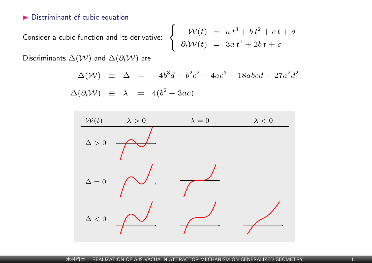#### $\blacktriangleright$  Discriminant of cubic equation

Consider a cubic function and its derivative:

$$
\begin{cases}\n\mathcal{W}(t) = a t^3 + b t^2 + c t + d \\
\partial_t \mathcal{W}(t) = 3a t^2 + 2b t + c\n\end{cases}
$$

Discriminants  $\Delta(\mathcal{W})$  and  $\Delta(\partial_t \mathcal{W})$  are

$$
\Delta(W) \equiv \Delta = -4b^3d + b^2c^2 - 4ac^3 + 18abcd - 27a^2d^2
$$
  
 
$$
\Delta(\partial_t W) \equiv \lambda = 4(b^2 - 3ac)
$$

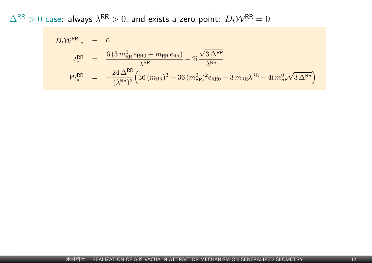$\Delta^\mathsf{RR} > 0$  case: always  $\lambda^\mathsf{RR} > 0$ , and exists a zero point:  $D_t\mathcal{W}^\mathsf{RR} = 0$ 

$$
D_t W^{RR}{}_{\ast} = 0
$$
  
\n
$$
t^{RR}_{\ast} = \frac{6 (3 m_{RR}^0 e_{RR0} + m_{RR} e_{RR})}{\lambda^{RR}} - 2i \frac{\sqrt{3 \Delta^{RR}}}{\lambda^{RR}}
$$
  
\n
$$
W^{RR}_{\ast} = -\frac{24 \Delta^{RR}}{(\lambda^{RR})^3} (36 (m_{RR})^3 + 36 (m_{RR}^0)^2 e_{RR0} - 3 m_{RR} \lambda^{RR} - 4i m_{RR}^0 \sqrt{3 \Delta^{RR}})
$$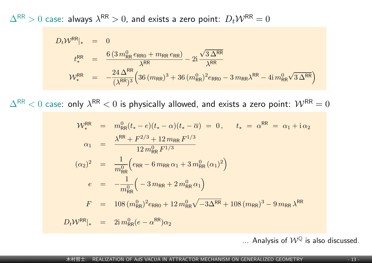$\Delta^\mathsf{RR} > 0$  case: always  $\lambda^\mathsf{RR} > 0$ , and exists a zero point:  $D_t\mathcal{W}^\mathsf{RR} = 0$ 

$$
D_t W^{RR}{}_{\ast} = 0
$$
  
\n
$$
t^{RR}_{\ast} = \frac{6 (3 m_{RR}^0 e_{RR0} + m_{RR} e_{RR})}{\lambda^{RR}} - 2i \frac{\sqrt{3} \Delta^{RR}}{\lambda^{RR}}
$$
  
\n
$$
W^{RR}_{\ast} = -\frac{24 \Delta^{RR}}{(\lambda^{RR})^3} \Big( 36 (m_{RR})^3 + 36 (m_{RR}^0)^2 e_{RR0} - 3 m_{RR} \lambda^{RR} - 4i m_{RR}^0 \sqrt{3} \Delta^{RR} \Big)
$$

 $\Delta^\mathsf{RR} < 0$  case: only  $\lambda^\mathsf{RR} < 0$  is physically allowed, and exists a zero point:  $\mathcal{W}^\mathsf{RR} = 0$ 

$$
\mathcal{W}_{*}^{\text{RR}} = m_{\text{RR}}^{0}(t_{*} - e)(t_{*} - \alpha)(t_{*} - \overline{\alpha}) = 0, \qquad t_{*} = \alpha^{\text{RR}} = \alpha_{1} + i\alpha_{2}
$$
\n
$$
\alpha_{1} = \frac{\lambda^{\text{RR}} + F^{2/3} + 12 \, m_{\text{RR}} F^{1/3}}{12 \, m_{\text{RR}}^{0} F^{1/3}}
$$
\n
$$
(\alpha_{2})^{2} = \frac{1}{m_{\text{RR}}^{0}} \Big( e_{\text{RR}} - 6 \, m_{\text{RR}} \alpha_{1} + 3 \, m_{\text{RR}}^{0} (\alpha_{1})^{2} \Big)
$$
\n
$$
e = -\frac{1}{m_{\text{RR}}^{0}} \Big( -3 \, m_{\text{RR}} + 2 \, m_{\text{RR}}^{0} \alpha_{1} \Big)
$$
\n
$$
F = 108 \, (m_{\text{RR}}^{0})^{2} e_{\text{RR}} + 12 \, m_{\text{RR}}^{0} \sqrt{-3\Delta^{\text{RR}}} + 108 \, (m_{\text{RR}})^{3} - 9 \, m_{\text{RR}} \lambda^{\text{RR}}
$$
\n
$$
D_{t} \mathcal{W}^{\text{RR}}|_{*} = 2i \, m_{\text{RR}}^{0} (e - \alpha^{\text{RR}}) \alpha_{2}
$$

... Analysis of  $W^{\mathbb{Q}}$  is also discussed.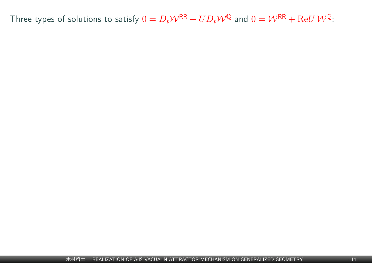Three types of solutions to satisfy  $0 = D_t \mathcal{W}^{\mathsf{RR}} + UD_t \mathcal{W}^{\mathbb{Q}}$  and  $0 = \mathcal{W}^{\mathsf{RR}} + \text{Re} U \mathcal{W}^{\mathbb{Q}}$ :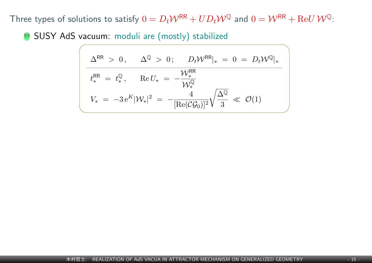Three types of solutions to satisfy  $0 = D_t \mathcal{W}^{RR} + UD_t \mathcal{W}^{Q}$  and  $0 = \mathcal{W}^{RR} + \text{Re}U \mathcal{W}^{Q}$ :

SUSY AdS vacuum: moduli are (mostly) stabilized

$$
\Delta^{\text{RR}} > 0, \quad \Delta^{\mathbb{Q}} > 0; \quad D_t \mathcal{W}^{\text{RR}}|_* = 0 = D_t \mathcal{W}^{\mathbb{Q}}|_*
$$
\n
$$
t_*^{\text{RR}} = t_*^{\mathbb{Q}}, \quad \text{Re}\, U_* = -\frac{\mathcal{W}_*^{\text{RR}}}{\mathcal{W}_*^{\mathbb{Q}}}
$$
\n
$$
V_* = -3 e^K |\mathcal{W}_*|^2 = -\frac{4}{[\text{Re}(\mathcal{C}\mathcal{G}_0)]^2} \sqrt{\frac{\Delta^{\mathbb{Q}}}{3}} \ll \mathcal{O}(1)
$$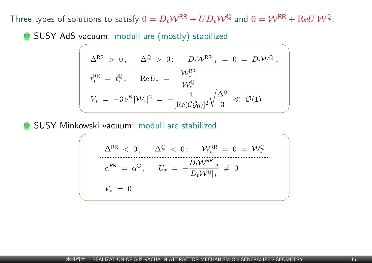Three types of solutions to satisfy  $0 = D_t \mathcal{W}^{RR} + UD_t \mathcal{W}^{Q}$  and  $0 = \mathcal{W}^{RR} + \text{Re}U \mathcal{W}^{Q}$ :

SUSY AdS vacuum: moduli are (mostly) stabilized

$$
\Delta^{\text{RR}} > 0, \quad \Delta^{\mathbb{Q}} > 0; \quad D_t \mathcal{W}^{\text{RR}}|_* = 0 = D_t \mathcal{W}^{\mathbb{Q}}|_*
$$
\n
$$
t_*^{\text{RR}} = t_*^{\mathbb{Q}}, \quad \text{Re}\, U_* = -\frac{\mathcal{W}_*^{\text{RR}}}{\mathcal{W}_*^{\mathbb{Q}}}
$$
\n
$$
V_* = -3 e^K |\mathcal{W}_*|^2 = -\frac{4}{[\text{Re}(\mathcal{C}\mathcal{G}_0)]^2} \sqrt{\frac{\Delta^{\mathbb{Q}}}{3}} \ll \mathcal{O}(1)
$$

SUSY Minkowski vacuum: moduli are stabilized

$$
\Delta^{\text{RR}} < 0, \quad \Delta^{\mathbb{Q}} < 0; \quad \mathcal{W}_*^{\text{RR}} = 0 = \mathcal{W}_*^{\mathbb{Q}}
$$
\n
$$
\alpha^{\text{RR}} = \alpha^{\mathbb{Q}}, \quad U_* = -\frac{D_t \mathcal{W}^{\text{RR}}|_*}{D_t \mathcal{W}^{\mathbb{Q}}|_*} \neq 0
$$
\n
$$
V_* = 0
$$